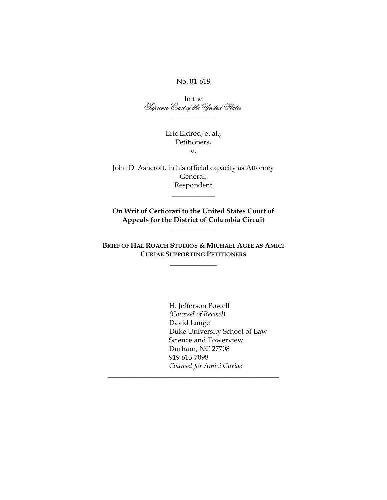#### No. 01-618

In the Supreme Court of the United States  $\overline{\phantom{a}}$  , where  $\overline{\phantom{a}}$ 

> Eric Eldred, et al., Petitioners, v.

John D. Ashcroft, in his official capacity as Attorney General, Respondent

\_\_\_\_\_\_\_\_\_\_\_\_

**On Writ of Certiorari to the United States Court of Appeals for the District of Columbia Circuit**

\_\_\_\_\_\_\_\_\_\_\_\_

**BRIEF OF HAL ROACH STUDIOS & MICHAEL AGEE AS AMICI CURIAE SUPPORTING PETITIONERS**

 $\overline{\phantom{a}}$ 

\_\_\_\_\_\_\_\_\_\_\_\_\_\_\_\_\_\_\_\_\_\_\_\_\_\_\_\_\_\_\_\_\_\_\_\_\_\_\_\_\_\_\_\_\_\_\_\_

H. Jefferson Powell *(Counsel of Record)* David Lange Duke University School of Law Science and Towerview Durham, NC 27708 919 613 7098 *Counsel for Amici Curiae*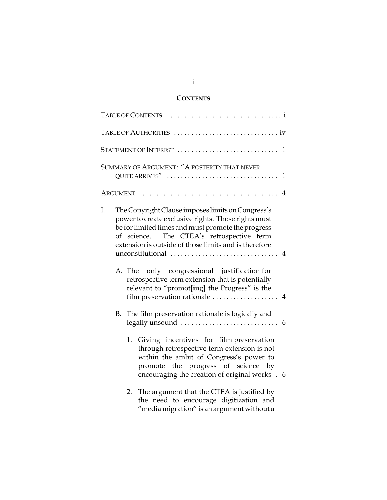### **CONTENTS**

| SUMMARY OF ARGUMENT: "A POSTERITY THAT NEVER                                                                                                                                                                                                                                  |  |  |  |  |
|-------------------------------------------------------------------------------------------------------------------------------------------------------------------------------------------------------------------------------------------------------------------------------|--|--|--|--|
| ARGUMENT $\ldots \ldots \ldots \ldots \ldots \ldots \ldots \ldots \ldots \ldots \ldots \ldots$                                                                                                                                                                                |  |  |  |  |
| The Copyright Clause imposes limits on Congress's<br>I.<br>power to create exclusive rights. Those rights must<br>be for limited times and must promote the progress<br>The CTEA's retrospective term<br>of science.<br>extension is outside of those limits and is therefore |  |  |  |  |
| A. The only congressional justification for<br>retrospective term extension that is potentially<br>relevant to "promot[ing] the Progress" is the                                                                                                                              |  |  |  |  |
| B. The film preservation rationale is logically and<br>legally unsound $\ldots \ldots \ldots \ldots \ldots \ldots \ldots$ 6                                                                                                                                                   |  |  |  |  |
| 1. Giving incentives for film preservation<br>through retrospective term extension is not<br>within the ambit of Congress's power to<br>promote the progress of science by<br>encouraging the creation of original works . 6                                                  |  |  |  |  |
| The argument that the CTEA is justified by<br>2.<br>the need to encourage digitization and<br>"media migration" is an argument without a                                                                                                                                      |  |  |  |  |

i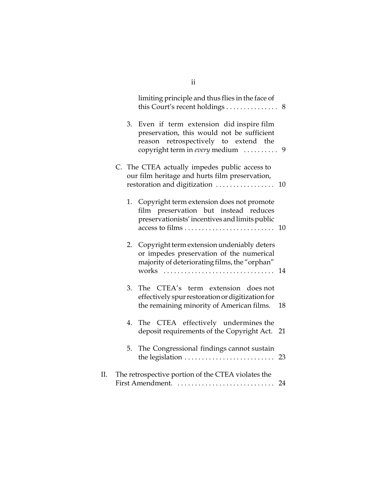|    |    | limiting principle and thus flies in the face of                                                                                                                                                                  |    |
|----|----|-------------------------------------------------------------------------------------------------------------------------------------------------------------------------------------------------------------------|----|
|    | 3. | Even if term extension did inspire film<br>preservation, this would not be sufficient<br>reason retrospectively to extend the<br>copyright term in every medium                                                   | 9  |
|    |    | C. The CTEA actually impedes public access to<br>our film heritage and hurts film preservation,<br>restoration and digitization                                                                                   | 10 |
|    | 1. | Copyright term extension does not promote<br>film preservation but instead reduces<br>preservationists' incentives and limits public<br>$access$ to films $\dots \dots \dots \dots \dots \dots \dots \dots \dots$ | 10 |
|    | 2. | Copyright term extension undeniably deters<br>or impedes preservation of the numerical<br>majority of deteriorating films, the "orphan"<br>works                                                                  | 14 |
|    | 3. | The CTEA's term extension does not<br>effectively spur restoration or digitization for<br>the remaining minority of American films.                                                                               | 18 |
|    | 4. | The CTEA effectively undermines the<br>deposit requirements of the Copyright Act. 21                                                                                                                              |    |
|    | 5. | The Congressional findings cannot sustain<br>the legislation $\dots \dots \dots \dots \dots \dots \dots \dots$ 23                                                                                                 |    |
| П. |    | The retrospective portion of the CTEA violates the                                                                                                                                                                |    |

ii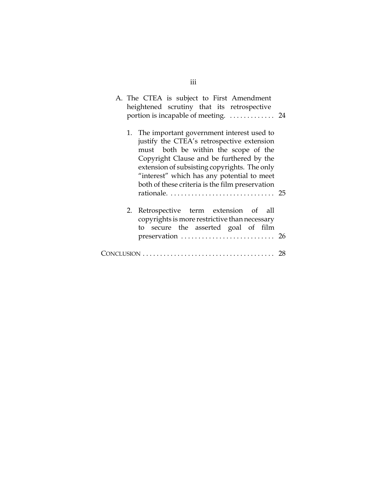| A. The CTEA is subject to First Amendment<br>heightened scrutiny that its retrospective<br>portion is incapable of meeting.  24                                                                                                                                                                                                 |    |
|---------------------------------------------------------------------------------------------------------------------------------------------------------------------------------------------------------------------------------------------------------------------------------------------------------------------------------|----|
| 1. The important government interest used to<br>justify the CTEA's retrospective extension<br>must both be within the scope of the<br>Copyright Clause and be furthered by the<br>extension of subsisting copyrights. The only<br>"interest" which has any potential to meet<br>both of these criteria is the film preservation |    |
|                                                                                                                                                                                                                                                                                                                                 |    |
| Retrospective term extension of all<br>2.<br>copyrights is more restrictive than necessary<br>to secure the asserted goal of film                                                                                                                                                                                               |    |
|                                                                                                                                                                                                                                                                                                                                 | 28 |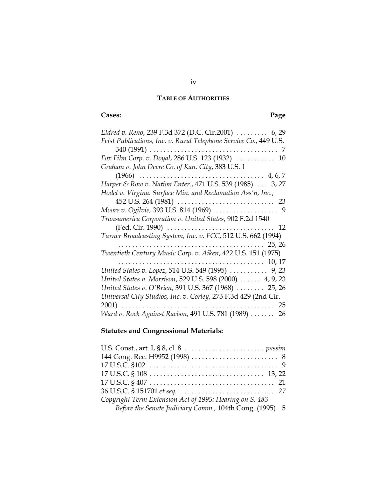### **TABLE OF AUTHORITIES**

# **Cases: Page**

| Eldred v. Reno, 239 F.3d 372 (D.C. Cir.2001)  6, 29                             |
|---------------------------------------------------------------------------------|
| Feist Publications, Inc. v. Rural Telephone Service Co., 449 U.S.               |
| $340(1991) \ldots \ldots \ldots \ldots \ldots \ldots \ldots \ldots \ldots$<br>7 |
| Fox Film Corp. v. Doyal, 286 U.S. 123 (1932)  10                                |
| Graham v. John Deere Co. of Kan. City, 383 U.S. 1                               |
|                                                                                 |
| Harper & Row v. Nation Enter., 471 U.S. 539 (1985)  3, 27                       |
| Hodel v. Virgina. Surface Min. and Reclamation Ass'n, Inc.,                     |
|                                                                                 |
|                                                                                 |
| Transamerica Corporation v. United States, 902 F.2d 1540                        |
|                                                                                 |
|                                                                                 |
| Turner Broadcasting System, Inc. v. FCC, 512 U.S. 662 (1994)                    |
|                                                                                 |
| Twentieth Century Music Corp. v. Aiken, 422 U.S. 151 (1975)                     |
|                                                                                 |
| United States v. Lopez, 514 U.S. 549 (1995)  9, 23                              |
| United States v. Morrison, 529 U.S. 598 (2000)  4, 9, 23                        |
| United States v. O'Brien, 391 U.S. 367 (1968)  25, 26                           |
|                                                                                 |
| Universal City Studios, Inc. v. Corley, 273 F.3d 429 (2nd Cir.<br>25            |
| Ward v. Rock Against Racism, 491 U.S. 781 (1989)<br>26                          |

# **Statutes and Congressional Materials:**

| Copyright Term Extension Act of 1995: Hearing on S. 483 |  |
|---------------------------------------------------------|--|
| Before the Senate Judiciary Comm., 104th Cong. (1995) 5 |  |
|                                                         |  |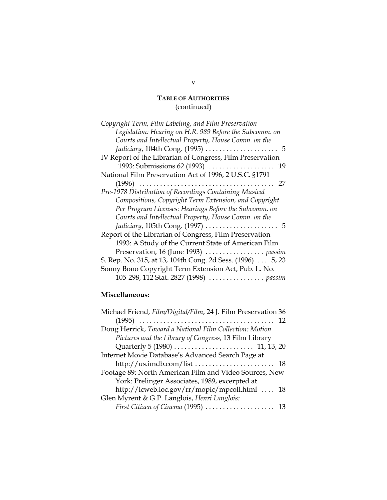## **TABLE OF AUTHORITIES** (continued)

# **Miscellaneous:**

v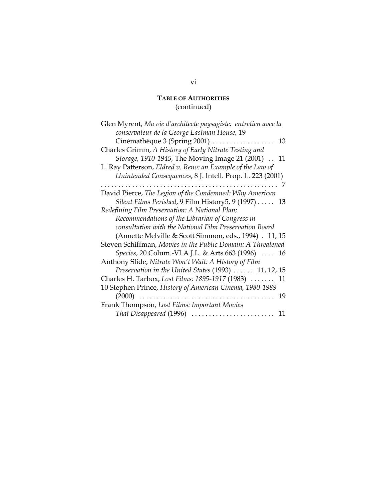## **TABLE OF AUTHORITIES** (continued)

| Glen Myrent, Ma vie d'architecte paysagiste: entretien avec la |
|----------------------------------------------------------------|
| conservateur de la George Eastman House, 19                    |
|                                                                |
| Charles Grimm, A History of Early Nitrate Testing and          |
| Storage, 1910-1945, The Moving Image 21 (2001) . 11            |
| L. Ray Patterson, Eldred v. Reno: an Example of the Law of     |
| Unintended Consequences, 8 J. Intell. Prop. L. 223 (2001)      |
| 7<br>.                                                         |
| David Pierce, The Legion of the Condemned: Why American        |
| Silent Films Perished, 9 Film History5, 9 (1997) 13            |
| Redefining Film Preservation: A National Plan;                 |
| Recommendations of the Librarian of Congress in                |
| consultation with the National Film Preservation Board         |
| (Annette Melville & Scott Simmon, eds., 1994) . 11, 15         |
| Steven Schiffman, Movies in the Public Domain: A Threatened    |
| <i>Species,</i> 20 Colum.-VLA J.L. & Arts 663 (1996)  16       |
| Anthony Slide, Nitrate Won't Wait: A History of Film           |
| Preservation in the United States $(1993)$ 11, 12, 15          |
| Charles H. Tarbox, Lost Films: 1895-1917 (1983)  11            |
| 10 Stephen Prince, History of American Cinema, 1980-1989       |
| 19<br>$(2000)$                                                 |
| Frank Thompson, Lost Films: Important Movies                   |
| That Disappeared (1996)<br>11                                  |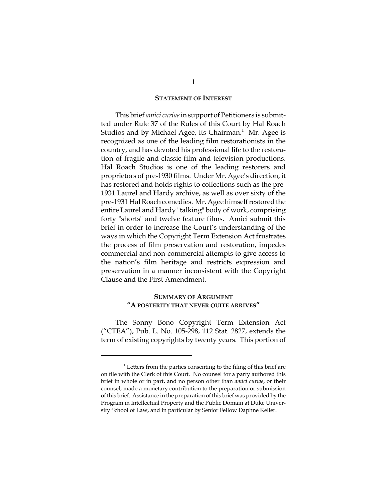#### **STATEMENT OF INTEREST**

This brief *amici curiae* in support of Petitioners is submitted under Rule 37 of the Rules of this Court by Hal Roach Studios and by Michael Agee, its Chairman.<sup>1</sup> Mr. Agee is recognized as one of the leading film restorationists in the country, and has devoted his professional life to the restoration of fragile and classic film and television productions. Hal Roach Studios is one of the leading restorers and proprietors of pre-1930 films. Under Mr. Agee's direction, it has restored and holds rights to collections such as the pre-1931 Laurel and Hardy archive, as well as over sixty of the pre-1931 Hal Roach comedies. Mr. Agee himself restored the entire Laurel and Hardy "talking" body of work, comprising forty "shorts" and twelve feature films. Amici submit this brief in order to increase the Court's understanding of the ways in which the Copyright Term Extension Act frustrates the process of film preservation and restoration, impedes commercial and non-commercial attempts to give access to the nation's film heritage and restricts expression and preservation in a manner inconsistent with the Copyright Clause and the First Amendment.

#### **SUMMARY OF ARGUMENT "A POSTERITY THAT NEVER QUITE ARRIVES"**

The Sonny Bono Copyright Term Extension Act ("CTEA"), Pub. L. No. 105-298, 112 Stat. 2827, extends the term of existing copyrights by twenty years. This portion of

<sup>&</sup>lt;sup>1</sup> Letters from the parties consenting to the filing of this brief are on file with the Clerk of this Court. No counsel for a party authored this brief in whole or in part, and no person other than *amici curiae*, or their counsel, made a monetary contribution to the preparation or submission of this brief. Assistance in the preparation of this brief was provided by the Program in Intellectual Property and the Public Domain at Duke University School of Law, and in particular by Senior Fellow Daphne Keller.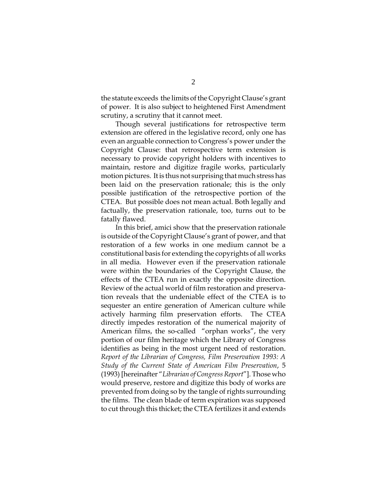the statute exceeds the limits of the Copyright Clause's grant of power. It is also subject to heightened First Amendment scrutiny, a scrutiny that it cannot meet.

Though several justifications for retrospective term extension are offered in the legislative record, only one has even an arguable connection to Congress's power under the Copyright Clause: that retrospective term extension is necessary to provide copyright holders with incentives to maintain, restore and digitize fragile works, particularly motion pictures. It is thus not surprising that much stress has been laid on the preservation rationale; this is the only possible justification of the retrospective portion of the CTEA. But possible does not mean actual. Both legally and factually, the preservation rationale, too, turns out to be fatally flawed.

In this brief, amici show that the preservation rationale is outside of the Copyright Clause's grant of power, and that restoration of a few works in one medium cannot be a constitutional basis for extending the copyrights of all works in all media. However even if the preservation rationale were within the boundaries of the Copyright Clause, the effects of the CTEA run in exactly the opposite direction. Review of the actual world of film restoration and preservation reveals that the undeniable effect of the CTEA is to sequester an entire generation of American culture while actively harming film preservation efforts. The CTEA directly impedes restoration of the numerical majority of American films, the so-called "orphan works", the very portion of our film heritage which the Library of Congress identifies as being in the most urgent need of restoration. *Report of the Librarian of Congress, Film Preservation 1993: A Study of the Current State of American Film Preservation*, 5 (1993) [hereinafter "*Librarian of Congress Report*"]. Those who would preserve, restore and digitize this body of works are prevented from doing so by the tangle of rights surrounding the films. The clean blade of term expiration was supposed to cut through this thicket; the CTEA fertilizes it and extends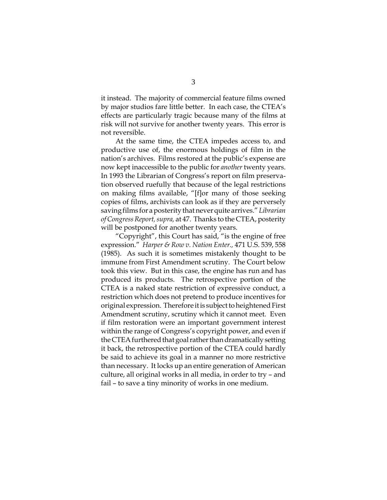it instead. The majority of commercial feature films owned by major studios fare little better. In each case, the CTEA's effects are particularly tragic because many of the films at risk will not survive for another twenty years. This error is not reversible.

At the same time, the CTEA impedes access to, and productive use of, the enormous holdings of film in the nation's archives. Films restored at the public's expense are now kept inaccessible to the public for *another* twenty years. In 1993 the Librarian of Congress's report on film preservation observed ruefully that because of the legal restrictions on making films available, "[f]or many of those seeking copies of films, archivists can look as if they are perversely saving films for a posterity that never quite arrives." *Librarian of Congress Report,supra,* at 47. Thanks to the CTEA, posterity will be postponed for another twenty years.

"Copyright", this Court has said, "is the engine of free expression." *Harper & Row v. Nation Enter.,* 471 U.S. 539, 558 (1985). As such it is sometimes mistakenly thought to be immune from First Amendment scrutiny. The Court below took this view. But in this case, the engine has run and has produced its products. The retrospective portion of the CTEA is a naked state restriction of expressive conduct, a restriction which does not pretend to produce incentives for original expression. Therefore it is subject to heightened First Amendment scrutiny, scrutiny which it cannot meet. Even if film restoration were an important government interest within the range of Congress's copyright power, and even if the CTEA furthered that goal rather than dramatically setting it back, the retrospective portion of the CTEA could hardly be said to achieve its goal in a manner no more restrictive than necessary. It locks up an entire generation of American culture, all original works in all media, in order to try – and fail – to save a tiny minority of works in one medium.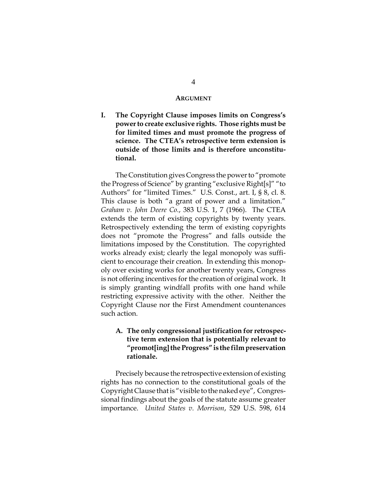#### **ARGUMENT**

**I. The Copyright Clause imposes limits on Congress's power to create exclusive rights. Those rights must be for limited times and must promote the progress of science. The CTEA's retrospective term extension is outside of those limits and is therefore unconstitutional.**

The Constitution gives Congress the power to "promote the Progress of Science" by granting "exclusive Right[s]" "to Authors" for "limited Times." U.S. Const., art. I, § 8, cl. 8. This clause is both "a grant of power and a limitation." *Graham v. John Deere Co.*, 383 U.S. 1, 7 (1966). The CTEA extends the term of existing copyrights by twenty years. Retrospectively extending the term of existing copyrights does not "promote the Progress" and falls outside the limitations imposed by the Constitution. The copyrighted works already exist; clearly the legal monopoly was sufficient to encourage their creation. In extending this monopoly over existing works for another twenty years, Congress is not offering incentives for the creation of original work. It is simply granting windfall profits with one hand while restricting expressive activity with the other. Neither the Copyright Clause nor the First Amendment countenances such action.

#### **A. The only congressional justification for retrospective term extension that is potentially relevant to "promot[ing] the Progress" is the film preservation rationale.**

Precisely because the retrospective extension of existing rights has no connection to the constitutional goals of the Copyright Clause that is "visible to the naked eye", Congressional findings about the goals of the statute assume greater importance. *United States v. Morrison*, 529 U.S. 598, 614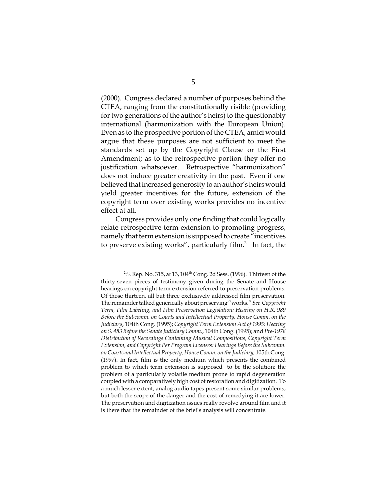(2000). Congress declared a number of purposes behind the CTEA, ranging from the constitutionally risible (providing for two generations of the author's heirs) to the questionably international (harmonization with the European Union). Even as to the prospective portion of the CTEA, amici would argue that these purposes are not sufficient to meet the standards set up by the Copyright Clause or the First Amendment; as to the retrospective portion they offer no justification whatsoever. Retrospective "harmonization" does not induce greater creativity in the past. Even if one believed that increased generosity to an author's heirs would yield greater incentives for the future, extension of the copyright term over existing works provides no incentive effect at all.

Congress provides only one finding that could logically relate retrospective term extension to promoting progress, namely that term extension is supposed to create "incentives to preserve existing works", particularly film. $^2$  In fact, the

 $^2$ S. Rep. No. 315, at 13, 104<sup>th</sup> Cong. 2d Sess. (1996). Thirteen of the thirty-seven pieces of testimony given during the Senate and House hearings on copyright term extension referred to preservation problems. Of those thirteen, all but three exclusively addressed film preservation. The remainder talked generically about preserving "works." *See Copyright Term, Film Labeling, and Film Preservation Legislation: Hearing on H.R. 989 Before the Subcomm. on Courts and Intellectual Property, House Comm. on the Judiciary*, 104th Cong. (1995); *Copyright Term Extension Act of 1995: Hearing on S. 483 Before the Senate Judiciary Comm*., 104th Cong. (1995); and *Pre-1978 Distribution of Recordings Containing Musical Compositions, Copyright Term Extension, and Copyright Per Program Licenses: Hearings Before the Subcomm. on Courts and Intellectual Property, House Comm. on the Judiciary,* 105th Cong. (1997). In fact, film is the only medium which presents the combined problem to which term extension is supposed to be the solution; the problem of a particularly volatile medium prone to rapid degeneration coupled with a comparatively high cost of restoration and digitization. To a much lesser extent, analog audio tapes present some similar problems, but both the scope of the danger and the cost of remedying it are lower. The preservation and digitization issues really revolve around film and it is there that the remainder of the brief's analysis will concentrate.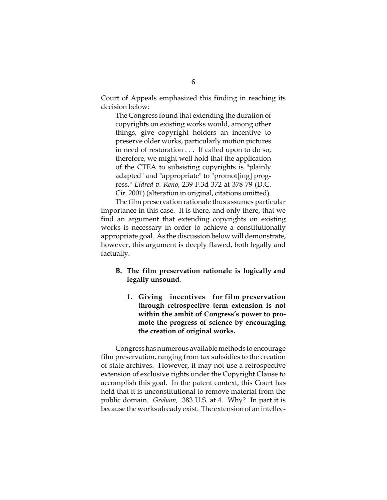Court of Appeals emphasized this finding in reaching its decision below:

The Congress found that extending the duration of copyrights on existing works would, among other things, give copyright holders an incentive to preserve older works, particularly motion pictures in need of restoration . . . If called upon to do so, therefore, we might well hold that the application of the CTEA to subsisting copyrights is "plainly adapted" and "appropriate" to "promot[ing] progress." *Eldred v. Reno*, 239 F.3d 372 at 378-79 (D.C. Cir. 2001) (alteration in original, citations omitted).

The film preservation rationale thus assumes particular importance in this case. It is there, and only there, that we find an argument that extending copyrights on existing works is necessary in order to achieve a constitutionally appropriate goal. As the discussion below will demonstrate, however, this argument is deeply flawed, both legally and factually.

- **B. The film preservation rationale is logically and legally unsound**.
	- **1. Giving incentives for film preservation through retrospective term extension is not within the ambit of Congress's power to promote the progress of science by encouraging the creation of original works.**

Congress has numerous available methods to encourage film preservation, ranging from tax subsidies to the creation of state archives. However, it may not use a retrospective extension of exclusive rights under the Copyright Clause to accomplish this goal. In the patent context, this Court has held that it is unconstitutional to remove material from the public domain. *Graham,* 383 U.S. at 4. Why? In part it is because the works already exist. The extension of an intellec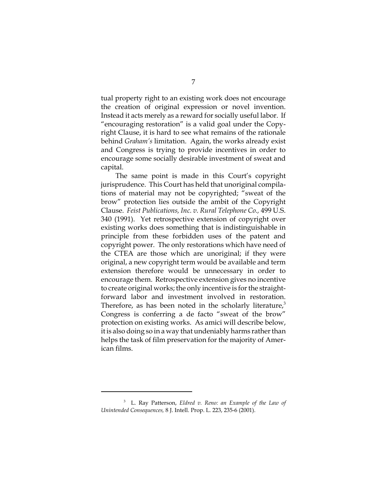tual property right to an existing work does not encourage the creation of original expression or novel invention. Instead it acts merely as a reward for socially useful labor. If "encouraging restoration" is a valid goal under the Copyright Clause, it is hard to see what remains of the rationale behind *Graham's* limitation. Again, the works already exist and Congress is trying to provide incentives in order to encourage some socially desirable investment of sweat and capital.

The same point is made in this Court's copyright jurisprudence. This Court has held that unoriginal compilations of material may not be copyrighted; "sweat of the brow" protection lies outside the ambit of the Copyright Clause. *Feist Publications, Inc. v. Rural Telephone Co.,* 499 U.S. 340 (1991). Yet retrospective extension of copyright over existing works does something that is indistinguishable in principle from these forbidden uses of the patent and copyright power. The only restorations which have need of the CTEA are those which are unoriginal; if they were original, a new copyright term would be available and term extension therefore would be unnecessary in order to encourage them. Retrospective extension gives no incentive to create original works; the only incentive is for the straightforward labor and investment involved in restoration. Therefore, as has been noted in the scholarly literature, $3$ Congress is conferring a de facto "sweat of the brow" protection on existing works. As amici will describe below, it is also doing so in a way that undeniably harms rather than helps the task of film preservation for the majority of American films.

<sup>3</sup> L. Ray Patterson, *Eldred v. Reno: an Example of the Law of Unintended Consequences,* 8 J. Intell. Prop. L. 223, 235-6 (2001).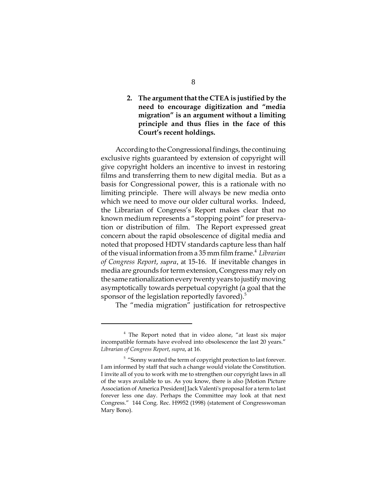#### **2. The argument that the CTEA is justified by the need to encourage digitization and "media migration" is an argument without a limiting principle and thus flies in the face of this Court's recent holdings.**

According to the Congressional findings, the continuing exclusive rights guaranteed by extension of copyright will give copyright holders an incentive to invest in restoring films and transferring them to new digital media. But as a basis for Congressional power, this is a rationale with no limiting principle. There will always be new media onto which we need to move our older cultural works. Indeed, the Librarian of Congress's Report makes clear that no known medium represents a "stopping point" for preservation or distribution of film. The Report expressed great concern about the rapid obsolescence of digital media and noted that proposed HDTV standards capture less than half of the visual information from a 35 mm film frame.<sup>4</sup> Librarian *of Congress Report*, *supra*, at 15-16. If inevitable changes in media are grounds for term extension, Congress may rely on the same rationalization every twenty years to justify moving asymptotically towards perpetual copyright (a goal that the sponsor of the legislation reportedly favored).<sup>5</sup>

The "media migration" justification for retrospective

<sup>4</sup> The Report noted that in video alone, "at least six major incompatible formats have evolved into obsolescence the last 20 years." *Librarian of Congress Report*, *supra*, at 16.

<sup>&</sup>lt;sup>5</sup> "Sonny wanted the term of copyright protection to last forever. I am informed by staff that such a change would violate the Constitution. I invite all of you to work with me to strengthen our copyright laws in all of the ways available to us. As you know, there is also [Motion Picture Association of America President] Jack Valenti's proposal for a term to last forever less one day. Perhaps the Committee may look at that next Congress." 144 Cong. Rec. H9952 (1998) (statement of Congresswoman Mary Bono).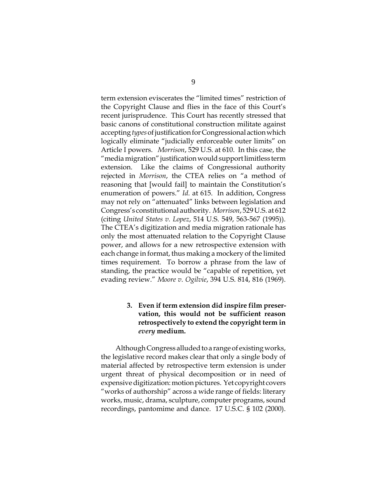term extension eviscerates the "limited times" restriction of the Copyright Clause and flies in the face of this Court's recent jurisprudence. This Court has recently stressed that basic canons of constitutional construction militate against accepting *types* of justification for Congressional action which logically eliminate "judicially enforceable outer limits" on Article I powers. *Morrison*, 529 U.S. at 610. In this case, the "media migration" justification would support limitless term extension. Like the claims of Congressional authority rejected in *Morrison*, the CTEA relies on "a method of reasoning that [would fail] to maintain the Constitution's enumeration of powers." *Id.* at 615. In addition, Congress may not rely on "attenuated" links between legislation and Congress's constitutional authority. *Morrison*, 529 U.S. at 612 (citing *United States v. Lopez*, 514 U.S. 549, 563-567 (1995)). The CTEA's digitization and media migration rationale has only the most attenuated relation to the Copyright Clause power, and allows for a new retrospective extension with each change in format, thus making a mockery of the limited times requirement. To borrow a phrase from the law of standing, the practice would be "capable of repetition, yet evading review." *Moore v. Ogilvie*, 394 U.S. 814, 816 (1969).

#### **3. Even if term extension did inspire film preservation, this would not be sufficient reason retrospectively to extend the copyright term in** *every* **medium.**

Although Congress alluded to a range of existing works, the legislative record makes clear that only a single body of material affected by retrospective term extension is under urgent threat of physical decomposition or in need of expensive digitization: motion pictures. Yet copyright covers "works of authorship" across a wide range of fields: literary works, music, drama, sculpture, computer programs, sound recordings, pantomime and dance. 17 U.S.C. § 102 (2000).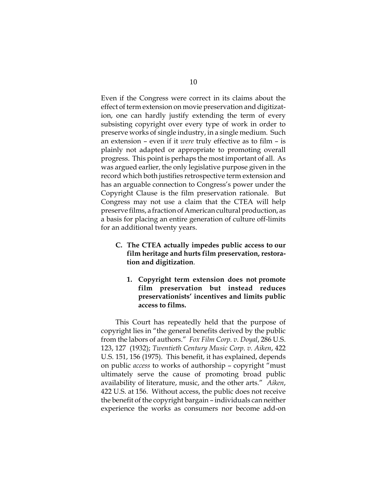Even if the Congress were correct in its claims about the effect of term extension on movie preservation and digitization, one can hardly justify extending the term of every subsisting copyright over every type of work in order to preserve works of single industry, in a single medium. Such an extension – even if it *were* truly effective as to film – is plainly not adapted or appropriate to promoting overall progress. This point is perhaps the most important of all. As was argued earlier, the only legislative purpose given in the record which both justifies retrospective term extension and has an arguable connection to Congress's power under the Copyright Clause is the film preservation rationale. But Congress may not use a claim that the CTEA will help preserve films, a fraction of American cultural production, as a basis for placing an entire generation of culture off-limits for an additional twenty years.

- **C. The CTEA actually impedes public access to our film heritage and hurts film preservation, restoration and digitization**.
	- **1. Copyright term extension does not promote film preservation but instead reduces preservationists' incentives and limits public access to films.**

This Court has repeatedly held that the purpose of copyright lies in "the general benefits derived by the public from the labors of authors." *Fox Film Corp. v. Doyal*, 286 U.S. 123, 127 (1932); *Twentieth Century Music Corp. v. Aiken*, 422 U.S. 151, 156 (1975). This benefit, it has explained, depends on public *access* to works of authorship – copyright "must ultimately serve the cause of promoting broad public availability of literature, music, and the other arts." *Aiken*, 422 U.S. at 156. Without access, the public does not receive the benefit of the copyright bargain – individuals can neither experience the works as consumers nor become add-on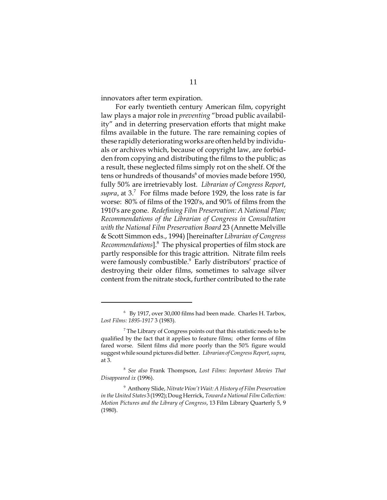innovators after term expiration.

For early twentieth century American film, copyright law plays a major role in *preventing* "broad public availability" and in deterring preservation efforts that might make films available in the future. The rare remaining copies of these rapidly deteriorating works are often held by individuals or archives which, because of copyright law, are forbidden from copying and distributing the films to the public; as a result, these neglected films simply rot on the shelf. Of the tens or hundreds of thousands<sup>6</sup> of movies made before 1950, fully 50% are irretrievably lost. *Librarian of Congress Report*, supra, at  $3$ .<sup>7</sup> For films made before 1929, the loss rate is far worse: 80% of films of the 1920's, and 90% of films from the 1910's are gone. *Redefining Film Preservation: A National Plan; Recommendations of the Librarian of Congress in Consultation with the National Film Preservation Board* 23 (Annette Melville & Scott Simmon eds., 1994) [hereinafter *Librarian of Congress* Recommendations].<sup>8</sup> The physical properties of film stock are partly responsible for this tragic attrition. Nitrate film reels were famously combustible.<sup>9</sup> Early distributors' practice of destroying their older films, sometimes to salvage silver content from the nitrate stock, further contributed to the rate

<sup>6</sup> By 1917, over 30,000 films had been made. Charles H. Tarbox, *Lost Films: 1895-1917* 3 (1983).

<sup>&</sup>lt;sup>7</sup> The Library of Congress points out that this statistic needs to be qualified by the fact that it applies to feature films; other forms of film fared worse. Silent films did more poorly than the 50% figure would suggest while sound pictures did better. *Librarian of Congress Report*,*supra*, at 3.

<sup>8</sup> *See also* Frank Thompson, *Lost Films: Important Movies That Disappeared ix* (1996).

<sup>9</sup> Anthony Slide, *Nitrate Won't Wait: A History of Film Preservation in the United States*3(1992);Doug Herrick, *Toward a National Film Collection: Motion Pictures and the Library of Congress*, 13 Film Library Quarterly 5, 9 (1980).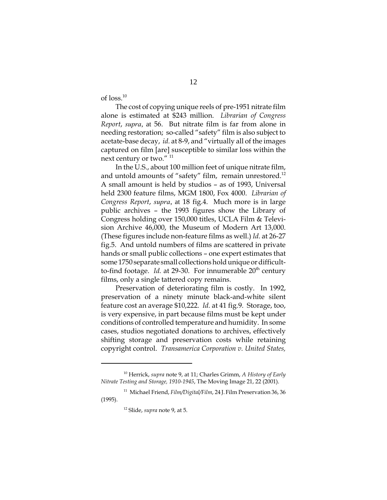of  $loss.<sup>10</sup>$ 

The cost of copying unique reels of pre-1951 nitrate film alone is estimated at \$243 million. *Librarian of Congress Report*, *supra*, at 56. But nitrate film is far from alone in needing restoration; so-called "safety" film is also subject to acetate-base decay, *id.* at 8-9, and "virtually all of the images captured on film [are] susceptible to similar loss within the next century or two." <sup>11</sup>

In the U.S., about 100 million feet of unique nitrate film, and untold amounts of "safety" film, remain unrestored.<sup>12</sup> A small amount is held by studios – as of 1993, Universal held 2300 feature films, MGM 1800, Fox 4000. *Librarian of Congress Report*, *supra*, at 18 fig.4. Much more is in large public archives – the 1993 figures show the Library of Congress holding over 150,000 titles, UCLA Film & Television Archive 46,000, the Museum of Modern Art 13,000. (These figures include non-feature films as well.) *Id.* at 26-27 fig.5. And untold numbers of films are scattered in private hands or small public collections – one expert estimates that some 1750 separate small collections hold unique or difficultto-find footage. *Id.* at 29-30. For innumerable 20<sup>th</sup> century films, only a single tattered copy remains.

Preservation of deteriorating film is costly. In 1992, preservation of a ninety minute black-and-white silent feature cost an average \$10,222. *Id.* at 41 fig.9. Storage, too, is very expensive, in part because films must be kept under conditions of controlled temperature and humidity. In some cases, studios negotiated donations to archives, effectively shifting storage and preservation costs while retaining copyright control. *Transamerica Corporation v. United States,*

<sup>10</sup> Herrick, *supra* note 9, at 11; Charles Grimm, *A History of Early Nitrate Testing and Storage, 1910-1945*, The Moving Image 21, 22 (2001).

<sup>11</sup> Michael Friend, *Film/Digital/Film*, 24 J. Film Preservation 36, 36 (1995).

<sup>12</sup> Slide, *supra* note 9, at 5.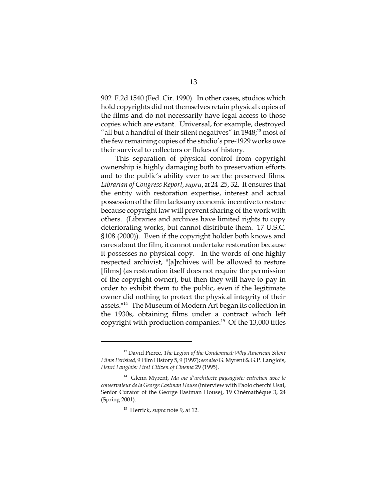902 F.2d 1540 (Fed. Cir. 1990). In other cases, studios which hold copyrights did not themselves retain physical copies of the films and do not necessarily have legal access to those copies which are extant. Universal, for example, destroyed "all but a handful of their silent negatives" in  $1948$ <sup> $,13$ </sup> most of the few remaining copies of the studio's pre-1929 works owe their survival to collectors or flukes of history.

This separation of physical control from copyright ownership is highly damaging both to preservation efforts and to the public's ability ever to *see* the preserved films. *Librarian of Congress Report*,*supra*, at 24-25, 32. It ensures that the entity with restoration expertise, interest and actual possession of the film lacks any economic incentive to restore because copyright law will prevent sharing of the work with others. (Libraries and archives have limited rights to copy deteriorating works, but cannot distribute them. 17 U.S.C. §108 (2000)). Even if the copyright holder both knows and cares about the film, it cannot undertake restoration because it possesses no physical copy. In the words of one highly respected archivist, "[a]rchives will be allowed to restore [films] (as restoration itself does not require the permission of the copyright owner), but then they will have to pay in order to exhibit them to the public, even if the legitimate owner did nothing to protect the physical integrity of their assets."<sup>14</sup> The Museum of Modern Art began its collection in the 1930s, obtaining films under a contract which left copyright with production companies.<sup>15</sup> Of the 13,000 titles

<sup>13</sup> David Pierce, *The Legion of the Condemned: Why American Silent Films Perished,* 9 Film History 5, 9 (1997);*see also* G. Myrent & G.P. Langlois, *Henri Langlois: First Citizen of Cinema* 29 (1995).

<sup>14</sup> Glenn Myrent, *Ma vie d'architecte paysagiste: entretien avec le conservateur de la George Eastman House* (interview with Paolo cherchi Usai, Senior Curator of the George Eastman House), 19 Cinémathéque 3, 24 (Spring 2001).

<sup>15</sup> Herrick, *supra* note 9, at 12.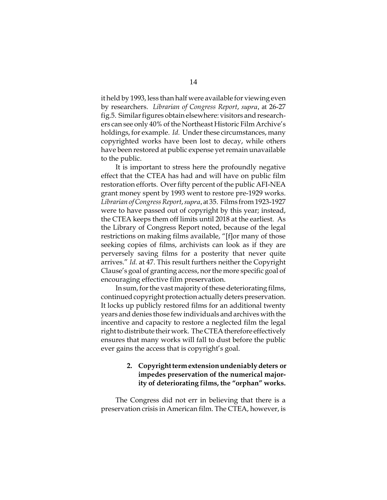it held by 1993, less than half were available for viewing even by researchers. *Librarian of Congress Report*, *supra*, at 26-27 fig.5. Similar figures obtain elsewhere: visitors and researchers can see only 40% of the Northeast Historic Film Archive's holdings, for example. *Id.* Under these circumstances, many copyrighted works have been lost to decay, while others have been restored at public expense yet remain unavailable to the public.

It is important to stress here the profoundly negative effect that the CTEA has had and will have on public film restoration efforts. Over fifty percent of the public AFI-NEA grant money spent by 1993 went to restore pre-1929 works. *Librarian of Congress Report*,*supra*, at 35. Films from 1923-1927 were to have passed out of copyright by this year; instead, the CTEA keeps them off limits until 2018 at the earliest. As the Library of Congress Report noted, because of the legal restrictions on making films available, "[f]or many of those seeking copies of films, archivists can look as if they are perversely saving films for a posterity that never quite arrives." *Id.* at 47. This result furthers neither the Copyright Clause's goal of granting access, nor the more specific goal of encouraging effective film preservation.

In sum, for the vast majority of these deteriorating films, continued copyright protection actually deters preservation. It locks up publicly restored films for an additional twenty years and denies those few individuals and archives with the incentive and capacity to restore a neglected film the legal right to distribute their work. The CTEA therefore effectively ensures that many works will fall to dust before the public ever gains the access that is copyright's goal.

#### **2. Copyright term extension undeniably deters or impedes preservation of the numerical majority of deteriorating films, the "orphan" works.**

The Congress did not err in believing that there is a preservation crisis in American film. The CTEA, however, is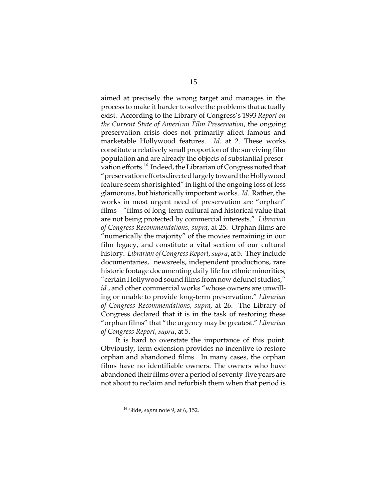aimed at precisely the wrong target and manages in the process to make it harder to solve the problems that actually exist. According to the Library of Congress's 1993 *Report on the Current State of American Film Preservation*, the ongoing preservation crisis does not primarily affect famous and marketable Hollywood features. *Id.* at 2. These works constitute a relatively small proportion of the surviving film population and are already the objects of substantial preservation efforts.<sup>16</sup> Indeed, the Librarian of Congress noted that "preservation efforts directed largely toward the Hollywood feature seem shortsighted" in light of the ongoing loss of less glamorous, but historically important works. *Id.* Rather, the works in most urgent need of preservation are "orphan" films – "films of long-term cultural and historical value that are not being protected by commercial interests." *Librarian of Congress Recommendations*, *supra*, at 25. Orphan films are "numerically the majority" of the movies remaining in our film legacy, and constitute a vital section of our cultural history. *Librarian of Congress Report*,*supra*, at 5.They include documentaries, newsreels, independent productions, rare historic footage documenting daily life for ethnic minorities, "certain Hollywood sound films from now defunct studios," *id.*, and other commercial works "whose owners are unwilling or unable to provide long-term preservation." *Librarian of Congress Recommendations*, *supra*, at 26. The Library of Congress declared that it is in the task of restoring these "orphan films" that "the urgency may be greatest." *Librarian of Congress Report*, *supra*, at 5.

It is hard to overstate the importance of this point. Obviously, term extension provides no incentive to restore orphan and abandoned films. In many cases, the orphan films have no identifiable owners. The owners who have abandoned their films over a period of seventy-five years are not about to reclaim and refurbish them when that period is

<sup>16</sup> Slide, *supra* note 9, at 6, 152.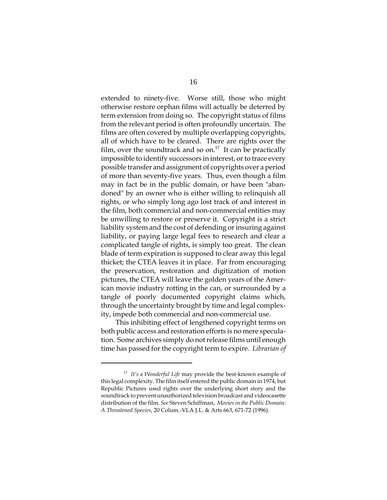extended to ninety-five. Worse still, those who might otherwise restore orphan films will actually be deterred by term extension from doing so. The copyright status of films from the relevant period is often profoundly uncertain. The films are often covered by multiple overlapping copyrights, all of which have to be cleared. There are rights over the film, over the soundtrack and so on. $^{17}$  It can be practically impossible to identify successors in interest, or to trace every possible transfer and assignment of copyrights over a period of more than seventy-five years. Thus, even though a film may in fact be in the public domain, or have been "abandoned" by an owner who is either willing to relinquish all rights, or who simply long ago lost track of and interest in the film, both commercial and non-commercial entities may be unwilling to restore or preserve it. Copyright is a strict liability system and the cost of defending or insuring against liability, or paying large legal fees to research and clear a complicated tangle of rights, is simply too great. The clean blade of term expiration is supposed to clear away this legal thicket; the CTEA leaves it in place. Far from encouraging the preservation, restoration and digitization of motion pictures, the CTEA will leave the golden years of the American movie industry rotting in the can, or surrounded by a tangle of poorly documented copyright claims which, through the uncertainty brought by time and legal complexity, impede both commercial and non-commercial use.

This inhibiting effect of lengthened copyright terms on both public access and restoration efforts is no mere speculation. Some archives simply do not release films until enough time has passed for the copyright term to expire. *Librarian of*

<sup>17</sup> *It's a Wonderful Life* may provide the best-known example of this legal complexity. The film itself entered the public domain in 1974, but Republic Pictures used rights over the underlying short story and the soundtrack to prevent unauthorized television broadcast and videocasette distribution of the film. *See* Steven Schiffman, *Movies in the Public Domain: A Threatened Species*, 20 Colum.-VLA J.L. & Arts 663, 671-72 (1996).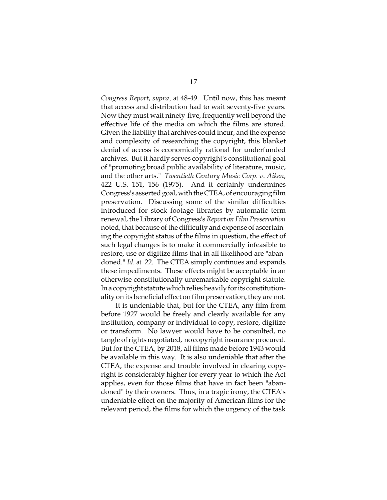*Congress Report*, *supra*, at 48-49. Until now, this has meant that access and distribution had to wait seventy-five years. Now they must wait ninety-five, frequently well beyond the effective life of the media on which the films are stored. Given the liability that archives could incur, and the expense and complexity of researching the copyright, this blanket denial of access is economically rational for underfunded archives. But it hardly serves copyright's constitutional goal of "promoting broad public availability of literature, music, and the other arts." *Twentieth Century Music Corp. v. Aiken*, 422 U.S. 151, 156 (1975). And it certainly undermines Congress's asserted goal, with the CTEA, of encouraging film preservation. Discussing some of the similar difficulties introduced for stock footage libraries by automatic term renewal, the Library of Congress's *Report on Film Preservation* noted, that because of the difficulty and expense of ascertaining the copyright status of the films in question, the effect of such legal changes is to make it commercially infeasible to restore, use or digitize films that in all likelihood are "abandoned." *Id*. at 22. The CTEA simply continues and expands these impediments. These effects might be acceptable in an otherwise constitutionally unremarkable copyright statute. In a copyright statute which relies heavily for its constitutionality on its beneficial effect on film preservation, they are not.

It is undeniable that, but for the CTEA, any film from before 1927 would be freely and clearly available for any institution, company or individual to copy, restore, digitize or transform. No lawyer would have to be consulted, no tangle of rights negotiated, no copyright insurance procured. But for the CTEA, by 2018, all films made before 1943 would be available in this way. It is also undeniable that after the CTEA, the expense and trouble involved in clearing copyright is considerably higher for every year to which the Act applies, even for those films that have in fact been "abandoned" by their owners. Thus, in a tragic irony, the CTEA's undeniable effect on the majority of American films for the relevant period, the films for which the urgency of the task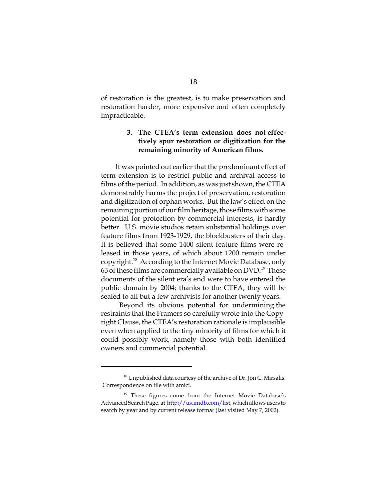of restoration is the greatest, is to make preservation and restoration harder, more expensive and often completely impracticable.

#### **3. The CTEA's term extension does not effectively spur restoration or digitization for the remaining minority of American films.**

It was pointed out earlier that the predominant effect of term extension is to restrict public and archival access to films of the period. In addition, as was just shown, the CTEA demonstrably harms the project of preservation, restoration and digitization of orphan works. But the law's effect on the remaining portion of our film heritage, those films with some potential for protection by commercial interests, is hardly better. U.S. movie studios retain substantial holdings over feature films from 1923-1929, the blockbusters of their day. It is believed that some 1400 silent feature films were released in those years, of which about 1200 remain under copyright.<sup>18</sup> According to the Internet Movie Database, only 63 of these films are commercially available on  $DVD$ .<sup>19</sup> These documents of the silent era's end were to have entered the public domain by 2004; thanks to the CTEA, they will be sealed to all but a few archivists for another twenty years.

 Beyond its obvious potential for undermining the restraints that the Framers so carefully wrote into the Copyright Clause, the CTEA's restoration rationale is implausible even when applied to the tiny minority of films for which it could possibly work, namely those with both identified owners and commercial potential.

<sup>&</sup>lt;sup>18</sup> Unpublished data courtesy of the archive of Dr. Jon C. Mirsalis. Correspondence on file with amici*.*

<sup>&</sup>lt;sup>19</sup> These figures come from the Internet Movie Database's Advanced Search Page, at http://us.imdb.com/list, which allows users to search by year and by current release format (last visited May 7, 2002).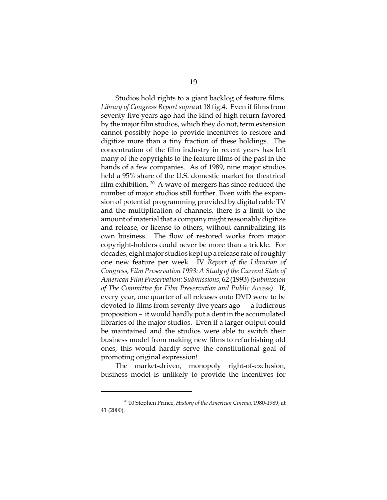Studios hold rights to a giant backlog of feature films. *Library of Congress Report supra* at 18 fig.4. Even if films from seventy-five years ago had the kind of high return favored by the major film studios, which they do not, term extension cannot possibly hope to provide incentives to restore and digitize more than a tiny fraction of these holdings. The concentration of the film industry in recent years has left many of the copyrights to the feature films of the past in the hands of a few companies. As of 1989, nine major studios held a 95% share of the U.S. domestic market for theatrical film exhibition.  $20$  A wave of mergers has since reduced the number of major studios still further. Even with the expansion of potential programming provided by digital cable TV and the multiplication of channels, there is a limit to the amount of material that a company might reasonably digitize and release, or license to others, without cannibalizing its own business. The flow of restored works from major copyright-holders could never be more than a trickle. For decades, eight major studios kept up a release rate of roughly one new feature per week. IV *Report of the Librarian of Congress, Film Preservation 1993: A Study of the Current State of American Film Preservation: Submissions*, 62 (1993)*(Submission of The Committee for Film Preservation and Public Access).* If, every year, one quarter of all releases onto DVD were to be devoted to films from seventy-five years ago – a ludicrous proposition – it would hardly put a dent in the accumulated libraries of the major studios. Even if a larger output could be maintained and the studios were able to switch their business model from making new films to refurbishing old ones, this would hardly serve the constitutional goal of promoting original expression!

The market-driven, monopoly right-of-exclusion, business model is unlikely to provide the incentives for

<sup>20</sup> 10 Stephen Prince, *History of the American Cinema*, 1980-1989, at 41 (2000).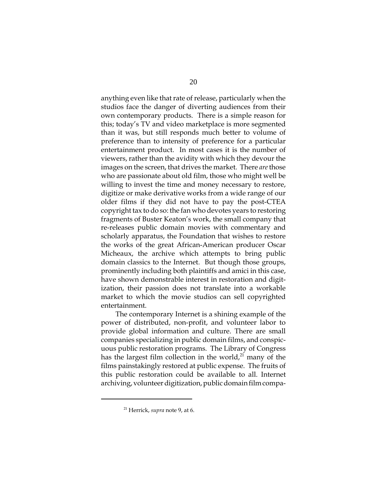anything even like that rate of release, particularly when the studios face the danger of diverting audiences from their own contemporary products. There is a simple reason for this; today's TV and video marketplace is more segmented than it was, but still responds much better to volume of preference than to intensity of preference for a particular entertainment product. In most cases it is the number of viewers, rather than the avidity with which they devour the images on the screen, that drives the market. There *are* those who are passionate about old film, those who might well be willing to invest the time and money necessary to restore, digitize or make derivative works from a wide range of our older films if they did not have to pay the post-CTEA copyright tax to do so: the fan who devotes years to restoring fragments of Buster Keaton's work, the small company that re-releases public domain movies with commentary and scholarly apparatus, the Foundation that wishes to restore the works of the great African-American producer Oscar Micheaux, the archive which attempts to bring public domain classics to the Internet. But though those groups, prominently including both plaintiffs and amici in this case, have shown demonstrable interest in restoration and digitization, their passion does not translate into a workable market to which the movie studios can sell copyrighted entertainment.

The contemporary Internet is a shining example of the power of distributed, non-profit, and volunteer labor to provide global information and culture. There are small companies specializing in public domain films, and conspicuous public restoration programs. The Library of Congress has the largest film collection in the world, $^{21}$  many of the films painstakingly restored at public expense. The fruits of this public restoration could be available to all. Internet archiving, volunteer digitization, public domain film compa-

<sup>21</sup> Herrick, *supra* note 9, at 6.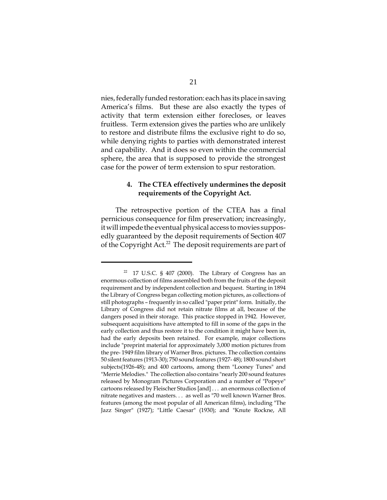nies, federally funded restoration: each has its place in saving America's films. But these are also exactly the types of activity that term extension either forecloses, or leaves fruitless. Term extension gives the parties who are unlikely to restore and distribute films the exclusive right to do so, while denying rights to parties with demonstrated interest and capability. And it does so even within the commercial sphere, the area that is supposed to provide the strongest case for the power of term extension to spur restoration.

#### **4. The CTEA effectively undermines the deposit requirements of the Copyright Act.**

The retrospective portion of the CTEA has a final pernicious consequence for film preservation; increasingly, it will impede the eventual physical access to movies supposedly guaranteed by the deposit requirements of Section 407 of the Copyright Act.<sup>22</sup> The deposit requirements are part of

 $22$  17 U.S.C. § 407 (2000). The Library of Congress has an enormous collection of films assembled both from the fruits of the deposit requirement and by independent collection and bequest. Starting in 1894 the Library of Congress began collecting motion pictures, as collections of still photographs – frequently in so called "paper print" form. Initially, the Library of Congress did not retain nitrate films at all, because of the dangers posed in their storage. This practice stopped in 1942. However, subsequent acquisitions have attempted to fill in some of the gaps in the early collection and thus restore it to the condition it might have been in, had the early deposits been retained. For example, major collections include "preprint material for approximately 3,000 motion pictures from the pre- 1949 film library of Warner Bros. pictures. The collection contains 50 silent features (1913-30); 750 sound features (1927- 48); 1800 sound short subjects(1926-48); and 400 cartoons, among them "Looney Tunes" and "Merrie Melodies." The collection also contains "nearly 200 sound features released by Monogram Pictures Corporation and a number of "Popeye" cartoons released by Fleischer Studios [and] . . . an enormous collection of nitrate negatives and masters. . . as well as "70 well known Warner Bros. features (among the most popular of all American films), including "The Jazz Singer" (1927); "Little Caesar" (1930); and "Knute Rockne, All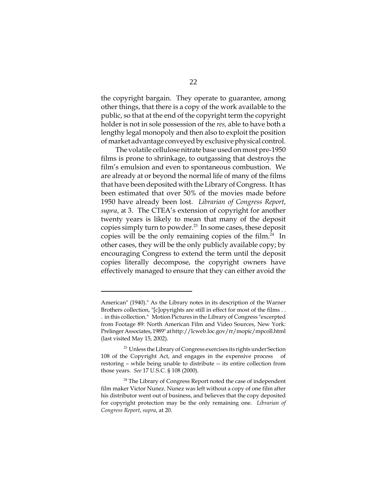the copyright bargain. They operate to guarantee, among other things, that there is a copy of the work available to the public, so that at the end of the copyright term the copyright holder is not in sole possession of the *res,* able to have both a lengthy legal monopoly and then also to exploit the position of market advantage conveyed by exclusive physical control.

The volatile cellulose nitrate base used on most pre-1950 films is prone to shrinkage, to outgassing that destroys the film's emulsion and even to spontaneous combustion. We are already at or beyond the normal life of many of the films that have been deposited with the Library of Congress. It has been estimated that over 50% of the movies made before 1950 have already been lost. *Librarian of Congress Report*, *supra*, at 3. The CTEA's extension of copyright for another twenty years is likely to mean that many of the deposit copies simply turn to powder. $^{23}$  In some cases, these deposit copies will be the only remaining copies of the film. $24$  In other cases, they will be the only publicly available copy; by encouraging Congress to extend the term until the deposit copies literally decompose, the copyright owners have effectively managed to ensure that they can either avoid the

American" (1940)." As the Library notes in its description of the Warner Brothers collection, "[c]opyrights are still in effect for most of the films . . . in this collection." Motion Pictures in the Library of Congress "excerpted from Footage 89: North American Film and Video Sources, New York: Prelinger Associates, 1989" athttp://lcweb.loc.gov/rr/mopic/mpcoll.html (last visited May 15, 2002).

<sup>&</sup>lt;sup>23</sup> Unless the Library of Congress exercises its rights under Section 108 of the Copyright Act, and engages in the expensive process restoring – while being unable to distribute -- its entire collection from those years. *See* 17 U.S.C. § 108 (2000).

<sup>&</sup>lt;sup>24</sup> The Library of Congress Report noted the case of independent film maker Victor Nunez. Nunez was left without a copy of one film after his distributor went out of business, and believes that the copy deposited for copyright protection may be the only remaining one. *Librarian of Congress Report*, *supra*, at 20.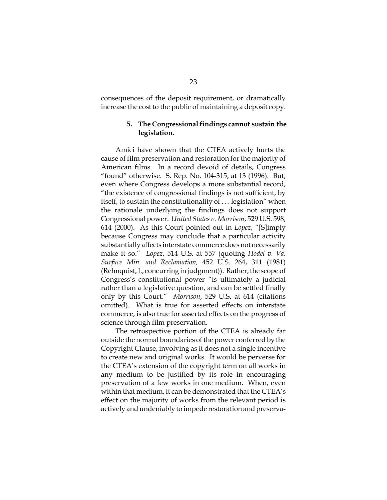consequences of the deposit requirement, or dramatically increase the cost to the public of maintaining a deposit copy.

#### **5. The Congressional findings cannot sustain the legislation.**

Amici have shown that the CTEA actively hurts the cause of film preservation and restoration for the majority of American films. In a record devoid of details, Congress "found" otherwise. S. Rep. No. 104-315, at 13 (1996). But, even where Congress develops a more substantial record, "the existence of congressional findings is not sufficient, by itself, to sustain the constitutionality of . . . legislation" when the rationale underlying the findings does not support Congressional power. *United States v. Morrison*, 529 U.S. 598, 614 (2000). As this Court pointed out in *Lopez*, "[S]imply because Congress may conclude that a particular activity substantially affects interstate commerce does not necessarily make it so." *Lopez*, 514 U.S. at 557 (quoting *Hodel v. Va. Surface Min. and Reclamation,* 452 U.S. 264, 311 (1981) (Rehnquist, J., concurring in judgment)). Rather, the scope of Congress's constitutional power "is ultimately a judicial rather than a legislative question, and can be settled finally only by this Court." *Morrison*, 529 U.S. at 614 (citations omitted). What is true for asserted effects on interstate commerce, is also true for asserted effects on the progress of science through film preservation.

The retrospective portion of the CTEA is already far outside the normal boundaries of the power conferred by the Copyright Clause, involving as it does not a single incentive to create new and original works. It would be perverse for the CTEA's extension of the copyright term on all works in any medium to be justified by its role in encouraging preservation of a few works in one medium. When, even within that medium, it can be demonstrated that the CTEA's effect on the majority of works from the relevant period is actively and undeniably to impede restoration and preserva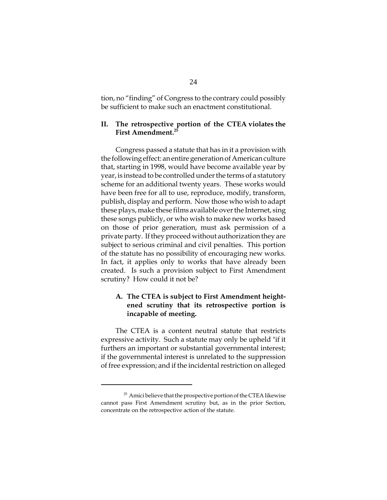tion, no "finding" of Congress to the contrary could possibly be sufficient to make such an enactment constitutional.

#### **II. The retrospective portion of the CTEA violates the First Amendment.<sup>25</sup>**

Congress passed a statute that has in it a provision with the following effect: an entire generation of American culture that, starting in 1998, would have become available year by year, is instead to be controlled under the terms of a statutory scheme for an additional twenty years. These works would have been free for all to use, reproduce, modify, transform, publish, display and perform. Now those who wish to adapt these plays, make these films available over the Internet, sing these songs publicly, or who wish to make new works based on those of prior generation, must ask permission of a private party. If they proceed without authorization they are subject to serious criminal and civil penalties. This portion of the statute has no possibility of encouraging new works. In fact, it applies only to works that have already been created. Is such a provision subject to First Amendment scrutiny? How could it not be?

#### **A. The CTEA is subject to First Amendment heightened scrutiny that its retrospective portion is incapable of meeting.**

The CTEA is a content neutral statute that restricts expressive activity. Such a statute may only be upheld "if it furthers an important or substantial governmental interest; if the governmental interest is unrelated to the suppression of free expression; and if the incidental restriction on alleged

<sup>&</sup>lt;sup>25</sup> Amici believe that the prospective portion of the CTEA likewise cannot pass First Amendment scrutiny but, as in the prior Section, concentrate on the retrospective action of the statute.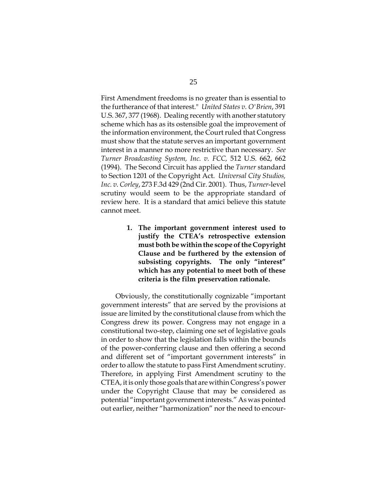First Amendment freedoms is no greater than is essential to the furtherance of that interest." *United States v. O'Brien*, 391 U.S. 367, 377 (1968). Dealing recently with another statutory scheme which has as its ostensible goal the improvement of the information environment, the Court ruled that Congress must show that the statute serves an important government interest in a manner no more restrictive than necessary. *See Turner Broadcasting System, Inc. v. FCC,* 512 U.S. 662, 662 (1994). The Second Circuit has applied the *Turner* standard to Section 1201 of the Copyright Act. *Universal City Studios, Inc. v. Corley*, 273 F.3d 429 (2nd Cir. 2001). Thus, *Turner*-level scrutiny would seem to be the appropriate standard of review here. It is a standard that amici believe this statute cannot meet.

> **1. The important government interest used to justify the CTEA's retrospective extension must both be within the scope of the Copyright Clause and be furthered by the extension of subsisting copyrights. The only "interest" which has any potential to meet both of these criteria is the film preservation rationale.**

Obviously, the constitutionally cognizable "important government interests" that are served by the provisions at issue are limited by the constitutional clause from which the Congress drew its power. Congress may not engage in a constitutional two-step, claiming one set of legislative goals in order to show that the legislation falls within the bounds of the power-conferring clause and then offering a second and different set of "important government interests" in order to allow the statute to pass First Amendment scrutiny. Therefore, in applying First Amendment scrutiny to the CTEA, it is only those goals that are within Congress's power under the Copyright Clause that may be considered as potential "important government interests." As was pointed out earlier, neither "harmonization" nor the need to encour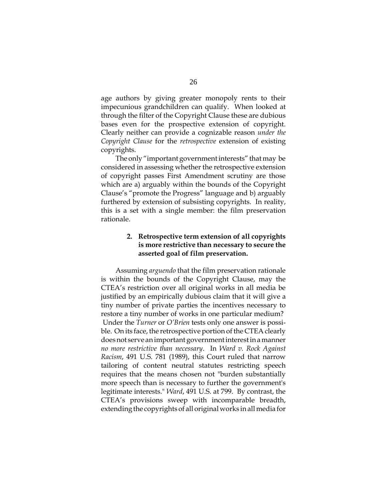age authors by giving greater monopoly rents to their impecunious grandchildren can qualify. When looked at through the filter of the Copyright Clause these are dubious bases even for the prospective extension of copyright. Clearly neither can provide a cognizable reason *under the Copyright Clause* for the *retrospective* extension of existing copyrights.

The only "important government interests" that may be considered in assessing whether the retrospective extension of copyright passes First Amendment scrutiny are those which are a) arguably within the bounds of the Copyright Clause's "promote the Progress" language and b) arguably furthered by extension of subsisting copyrights. In reality, this is a set with a single member: the film preservation rationale.

#### **2. Retrospective term extension of all copyrights is more restrictive than necessary to secure the asserted goal of film preservation.**

Assuming *arguendo* that the film preservation rationale is within the bounds of the Copyright Clause, may the CTEA's restriction over all original works in all media be justified by an empirically dubious claim that it will give a tiny number of private parties the incentives necessary to restore a tiny number of works in one particular medium? Under the *Turner* or *O'Brien* tests only one answer is possible. On its face, the retrospective portion of the CTEA clearly does not serve an important government interest in a manner *no more restrictive than necessary*. In *Ward v. Rock Against Racism*, 491 U.S. 781 (1989), this Court ruled that narrow tailoring of content neutral statutes restricting speech requires that the means chosen not "burden substantially more speech than is necessary to further the government's legitimate interests." *Ward*, 491 U.S. at 799. By contrast, the CTEA's provisions sweep with incomparable breadth, extending the copyrights of all original works in all media for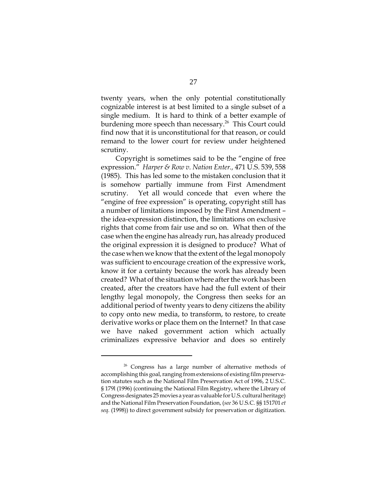twenty years, when the only potential constitutionally cognizable interest is at best limited to a single subset of a single medium. It is hard to think of a better example of burdening more speech than necessary.<sup>26</sup> This Court could find now that it is unconstitutional for that reason, or could remand to the lower court for review under heightened scrutiny.

Copyright is sometimes said to be the "engine of free expression." *Harper & Row v. Nation Enter.,* 471 U.S. 539, 558 (1985). This has led some to the mistaken conclusion that it is somehow partially immune from First Amendment scrutiny. Yet all would concede that even where the "engine of free expression" is operating, copyright still has a number of limitations imposed by the First Amendment – the idea-expression distinction, the limitations on exclusive rights that come from fair use and so on. What then of the case when the engine has already run, has already produced the original expression it is designed to produce? What of the case when we know that the extent of the legal monopoly was sufficient to encourage creation of the expressive work, know it for a certainty because the work has already been created? What of the situation where after the work has been created, after the creators have had the full extent of their lengthy legal monopoly, the Congress then seeks for an additional period of twenty years to deny citizens the ability to copy onto new media, to transform, to restore, to create derivative works or place them on the Internet? In that case we have naked government action which actually criminalizes expressive behavior and does so entirely

 $26$  Congress has a large number of alternative methods of accomplishing this goal, ranging from extensions of existing film preservation statutes such as the National Film Preservation Act of 1996, 2 U.S.C. § 179l (1996) (continuing the National Film Registry, where the Library of Congress designates 25 movies a year as valuable for U.S. cultural heritage) and the National Film Preservation Foundation, (*see* 36 U.S.C. §§ 151701 *et seq.* (1998)) to direct government subsidy for preservation or digitization.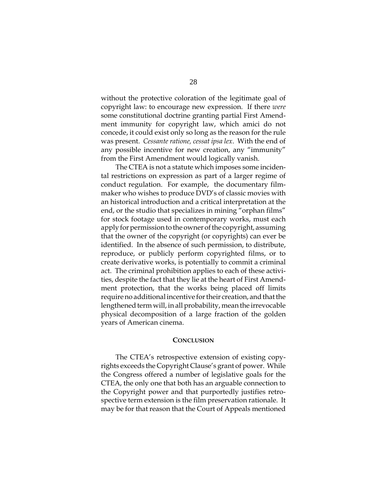without the protective coloration of the legitimate goal of copyright law: to encourage new expression. If there *were* some constitutional doctrine granting partial First Amendment immunity for copyright law, which amici do not concede, it could exist only so long as the reason for the rule was present. *Cessante ratione, cessat ipsa lex*. With the end of any possible incentive for new creation, any "immunity" from the First Amendment would logically vanish.

The CTEA is not a statute which imposes some incidental restrictions on expression as part of a larger regime of conduct regulation. For example, the documentary filmmaker who wishes to produce DVD's of classic movies with an historical introduction and a critical interpretation at the end, or the studio that specializes in mining "orphan films" for stock footage used in contemporary works, must each apply for permission to the owner of the copyright, assuming that the owner of the copyright (or copyrights) can ever be identified. In the absence of such permission, to distribute, reproduce, or publicly perform copyrighted films, or to create derivative works, is potentially to commit a criminal act. The criminal prohibition applies to each of these activities, despite the fact that they lie at the heart of First Amendment protection, that the works being placed off limits require no additional incentive for their creation, and that the lengthened term will, in all probability, mean the irrevocable physical decomposition of a large fraction of the golden years of American cinema.

#### **CONCLUSION**

The CTEA's retrospective extension of existing copyrights exceeds the Copyright Clause's grant of power. While the Congress offered a number of legislative goals for the CTEA, the only one that both has an arguable connection to the Copyright power and that purportedly justifies retrospective term extension is the film preservation rationale. It may be for that reason that the Court of Appeals mentioned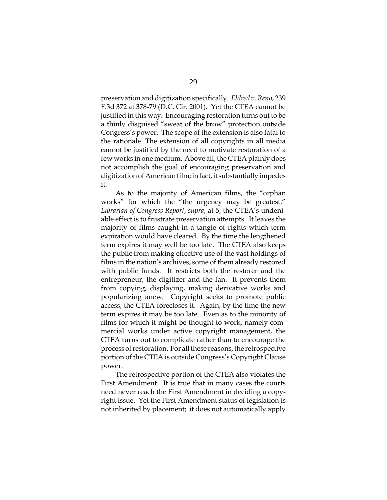preservation and digitization specifically. *Eldred v. Reno*, 239 F.3d 372 at 378-79 (D.C. Cir. 2001). Yet the CTEA cannot be justified in this way. Encouraging restoration turns out to be a thinly disguised "sweat of the brow" protection outside Congress's power. The scope of the extension is also fatal to the rationale. The extension of all copyrights in all media cannot be justified by the need to motivate restoration of a few works in one medium. Above all, the CTEA plainly does not accomplish the goal of encouraging preservation and digitization of American film; in fact, it substantially impedes it.

As to the majority of American films, the "orphan works" for which the "the urgency may be greatest." *Librarian of Congress Report*, *supra*, at 5, the CTEA's undeniable effect is to frustrate preservation attempts. It leaves the majority of films caught in a tangle of rights which term expiration would have cleared. By the time the lengthened term expires it may well be too late. The CTEA also keeps the public from making effective use of the vast holdings of films in the nation's archives, some of them already restored with public funds. It restricts both the restorer and the entrepreneur, the digitizer and the fan. It prevents them from copying, displaying, making derivative works and popularizing anew. Copyright seeks to promote public access; the CTEA forecloses it. Again, by the time the new term expires it may be too late. Even as to the minority of films for which it might be thought to work, namely commercial works under active copyright management, the CTEA turns out to complicate rather than to encourage the process of restoration. For all these reasons, the retrospective portion of the CTEA is outside Congress's Copyright Clause power.

The retrospective portion of the CTEA also violates the First Amendment. It is true that in many cases the courts need never reach the First Amendment in deciding a copyright issue. Yet the First Amendment status of legislation is not inherited by placement; it does not automatically apply